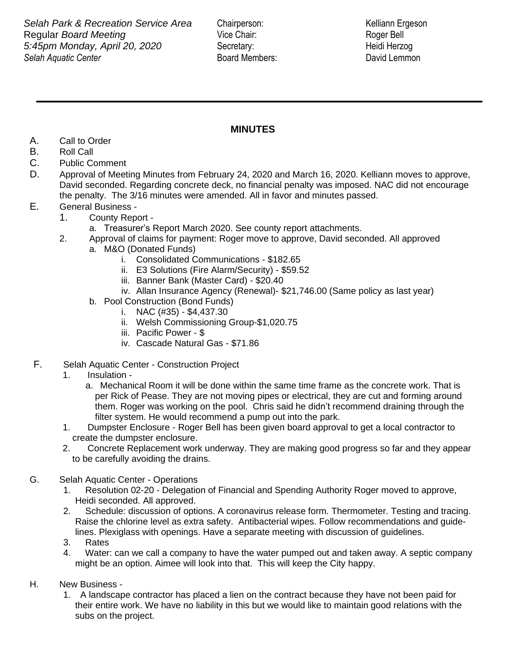*Selah Aquatic Center* Board Members: David Lemmon **Selah Park & Recreation Service Area** Chairperson: Kelliann Ergeson **Regular** *Board Meeting* The Chair: Vice Chair: Roger Bell *5:45pm Monday, April 20, 2020* Secretary: Heidi Herzog

## **MINUTES**

- A. Call to Order
- B. Roll Call
- C. Public Comment
- D. Approval of Meeting Minutes from February 24, 2020 and March 16, 2020. Kelliann moves to approve, David seconded. Regarding concrete deck, no financial penalty was imposed. NAC did not encourage the penalty. The 3/16 minutes were amended. All in favor and minutes passed.
- E. General Business
	- 1. County Report
		- a. Treasurer's Report March 2020. See county report attachments.
	- 2. Approval of claims for payment: Roger move to approve, David seconded. All approved
		- a. M&O (Donated Funds)
			- i. Consolidated Communications \$182.65
			- ii. E3 Solutions (Fire Alarm/Security) \$59.52
			- iii. Banner Bank (Master Card) \$20.40
			- iv. Allan Insurance Agency (Renewal)- \$21,746.00 (Same policy as last year)
		- b. Pool Construction (Bond Funds)
			- i. NAC  $(\#35) $4,437.30$
			- ii. Welsh Commissioning Group-\$1,020.75
			- iii. Pacific Power \$
			- iv. Cascade Natural Gas \$71.86
- F. Selah Aquatic Center Construction Project
	- 1. Insulation
		- a. Mechanical Room it will be done within the same time frame as the concrete work. That is per Rick of Pease. They are not moving pipes or electrical, they are cut and forming around them. Roger was working on the pool. Chris said he didn't recommend draining through the filter system. He would recommend a pump out into the park.
	- 1. Dumpster Enclosure Roger Bell has been given board approval to get a local contractor to create the dumpster enclosure.
	- 2. Concrete Replacement work underway. They are making good progress so far and they appear to be carefully avoiding the drains.
- G. Selah Aquatic Center Operations
	- 1. Resolution 02-20 Delegation of Financial and Spending Authority Roger moved to approve, Heidi seconded. All approved.
	- 2. Schedule: discussion of options. A coronavirus release form. Thermometer. Testing and tracing. Raise the chlorine level as extra safety. Antibacterial wipes. Follow recommendations and guidelines. Plexiglass with openings. Have a separate meeting with discussion of guidelines.
	- 3. Rates
	- 4. Water: can we call a company to have the water pumped out and taken away. A septic company might be an option. Aimee will look into that. This will keep the City happy.
- H. New Business
	- 1. A landscape contractor has placed a lien on the contract because they have not been paid for their entire work. We have no liability in this but we would like to maintain good relations with the subs on the project.